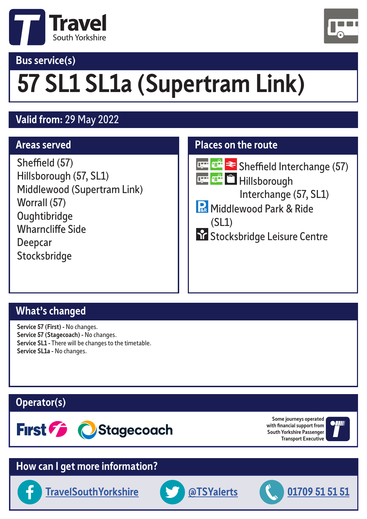

#### **Bus service(s)**



## **57 SL1 SL1a (Supertram Link)**

#### **Valid from:** 29 May 2022

#### **Areas served**

Sheffield (57) Hillsborough (57, SL1) Middlewood (Supertram Link) Worrall (57) **Oughtibridge** Wharncliffe Side Deepcar **Stocksbridge** 

#### **Places on the route**



**THE THE Sheffield Interchange (57)** 

प्रस्<mark>पान</mark>े भिांllsborough Interchange (57, SL1)

**R** Middlewood Park & Ride

 (SL1) Stocksbridge Leisure Centre

#### **What's changed**

**Service 57 (First) -** No changes. **Service 57 (Stagecoach) -** No changes. **Service SL1 -** There will be changes to the timetable. **Service SL1a -** No changes.

#### **Operator(s)**



**Some journeys operated with financial support from South Yorkshire Passenger Transport Executive**



#### **How can I get more information?**

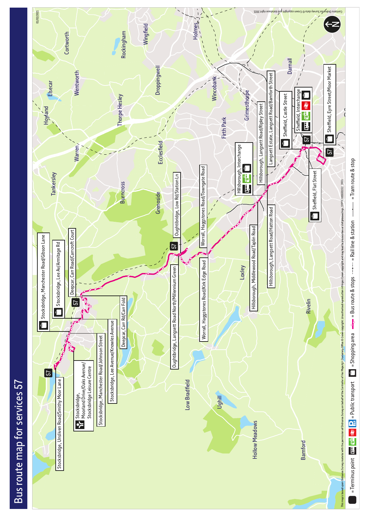

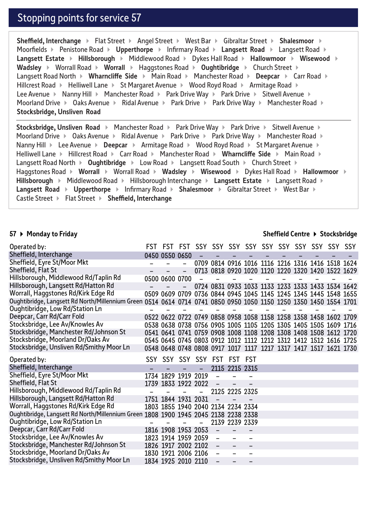#### Stopping points for service 57

**Sheffield, Interchange**  Flat Street **Angel Street West Bar Angle Street Shalesmoor <b>A** Moorfields **Constraints And Aupli Engine Intervery Proad Auplication Langsett Road Constraints And Auglier Road Auglier Proad and Auglier Proad and Auglier Proad and Auglier Proad and Auglier Proad and Auglier Proad and Au Langsett Estate ▶ Hillsborough ▶ Middlewood Road ▶ Dykes Hall Road ▶ Hallowmoor ▶ Wisewood ▶ Wadsley ▶ Worrall Road ▶ Worrall ▶ Haggstones Road ▶ Oughtibridge ▶ Church Street ▶** Langsett Road North ▶ Wharncliffe Side ▶ Main Road ▶ Manchester Road ▶ Deepcar ▶ Carr Road ▶ Hillcrest Road  $\triangleright$  Helliwell Lane  $\triangleright$  St Margaret Avenue  $\triangleright$  Wood Royd Road  $\triangleright$  Armitage Road  $\triangleright$ Lee Avenue ▶ Nanny Hill ▶ Manchester Road ▶ Park Drive Way ▶ Park Drive ▶ Sitwell Avenue ▶ Moorland Drive  $\blacktriangleright$  Oaks Avenue  $\blacktriangleright$  Ridal Avenue  $\blacktriangleright$  Park Drive  $\blacktriangleright$  Park Drive Way  $\blacktriangleright$  Manchester Road  $\blacktriangleright$ **Stocksbridge, Unsliven Road** 

**Stocksbridge, Unsliven Road**  $\triangleright$  Manchester Road  $\triangleright$  Park Drive  $\triangleright$  Park Drive  $\triangleright$  Sitwell Avenue  $\triangleright$ Moorland Drive  $\blacktriangleright$  Oaks Avenue  $\blacktriangleright$  Ridal Avenue  $\blacktriangleright$  Park Drive  $\blacktriangleright$  Park Drive Way  $\blacktriangleright$  Manchester Road  $\blacktriangleright$ Nanny Hill ▶ Lee Avenue ▶ Deepcar ▶ Armitage Road ▶ Wood Royd Road ▶ St Margaret Avenue ▶ Helliwell Lane **Mate It Hillcrest Road • Carr Road • Manchester Road • Wharncliffe Side • Main Road •** Langsett Road North **Dughtibridge E** Low Road **Example 2 South Exercise Church Street E** Haggstones Road **• Worrall • Worrall Road • Wadsley • Wisewood** • Dykes Hall Road • Hallowmoor • Hillsborough **>** Middlewood Road > Hillsborough Interchange > Langsett Estate > Langsett Road > **Langsett Road > Upperthorpe > Infirmary Road > Shalesmoor > Gibraltar Street > West Bar >** Castle Street  $\triangleright$  Flat Street  $\triangleright$  **Sheffield, Interchange** 

#### **57 Monday to Friday**

#### **Sheffield Centre Stocksbridge**

| Operated by:                                                                                                      |                                    |  |                |  |  |                                                                  |  |
|-------------------------------------------------------------------------------------------------------------------|------------------------------------|--|----------------|--|--|------------------------------------------------------------------|--|
| Sheffield, Interchange                                                                                            | 0450 0550 0650                     |  |                |  |  |                                                                  |  |
| Sheffield, Eyre St/Moor Mkt                                                                                       |                                    |  |                |  |  | 0709 0814 0916 1016 1116 1216 1316 1416 1518 1624                |  |
| Sheffield, Flat St                                                                                                |                                    |  |                |  |  | 0713 0818 0920 1020 1120 1220 1320 1420 1522 1629                |  |
| Hillsborough, Middlewood Rd/Taplin Rd                                                                             | 0500 0600 0700                     |  |                |  |  |                                                                  |  |
| Hillsborough, Langsett Rd/Hatton Rd                                                                               |                                    |  |                |  |  | 0724 0831 0933 1033 1133 1233 1333 1433 1534 1642                |  |
| Worrall, Haggstones Rd/Kirk Edge Rd                                                                               |                                    |  |                |  |  | 0509 0609 0709 0736 0844 0945 1045 1145 1245 1345 1445 1548 1655 |  |
| Oughtibridge, Langsett Rd North/Millennium Green 0514 0614 0714 0741 0850 0950 1050 1150 1250 1350 1450 1554 1701 |                                    |  |                |  |  |                                                                  |  |
| Oughtibridge, Low Rd/Station Ln                                                                                   |                                    |  |                |  |  |                                                                  |  |
| Deepcar, Carr Rd/Carr Fold                                                                                        |                                    |  |                |  |  | 0522 0622 0722 0749 0858 0958 1058 1158 1258 1358 1458 1602 1709 |  |
| Stocksbridge, Lee Av/Knowles Av                                                                                   |                                    |  |                |  |  | 0538 0638 0738 0756 0905 1005 1105 1205 1305 1405 1505 1609 1716 |  |
| Stocksbridge, Manchester Rd/Johnson St                                                                            |                                    |  |                |  |  | 0541 0641 0741 0759 0908 1008 1108 1208 1308 1408 1508 1612 1720 |  |
| Stocksbridge, Moorland Dr/Oaks Av                                                                                 |                                    |  |                |  |  | 0545 0645 0745 0803 0912 1012 1112 1212 1312 1412 1512 1616 1725 |  |
| Stocksbridge, Unsliven Rd/Smithy Moor Ln                                                                          |                                    |  |                |  |  | 0548 0648 0748 0808 0917 1017 1117 1217 1317 1417 1517 1621 1730 |  |
|                                                                                                                   |                                    |  |                |  |  |                                                                  |  |
| Operated by:                                                                                                      | SSY SSY SSY SSY FST FST FST        |  |                |  |  |                                                                  |  |
| Sheffield, Interchange                                                                                            |                                    |  | 2115 2215 2315 |  |  |                                                                  |  |
| Sheffield, Eyre St/Moor Mkt                                                                                       | 1734 1829 1919 2019                |  |                |  |  |                                                                  |  |
| Sheffield, Flat St                                                                                                | 1739 1833 1922 2022                |  |                |  |  |                                                                  |  |
| Hillsborough, Middlewood Rd/Taplin Rd                                                                             |                                    |  | 2125 2225 2325 |  |  |                                                                  |  |
| Hillsborough, Langsett Rd/Hatton Rd                                                                               | 1751 1844 1931 2031                |  |                |  |  |                                                                  |  |
| Worrall, Haggstones Rd/Kirk Edge Rd                                                                               | 1803 1855 1940 2040 2134 2234 2334 |  |                |  |  |                                                                  |  |
| Oughtibridge, Langsett Rd North/Millennium Green 1808 1900 1945 2045 2138 2238 2338                               |                                    |  |                |  |  |                                                                  |  |
| Oughtibridge, Low Rd/Station Ln                                                                                   |                                    |  | 2139 2239 2339 |  |  |                                                                  |  |
| Deepcar, Carr Rd/Carr Fold                                                                                        | 1816 1908 1953 2053                |  |                |  |  |                                                                  |  |
| Stocksbridge, Lee Av/Knowles Av                                                                                   | 1823 1914 1959 2059                |  |                |  |  |                                                                  |  |
| Stocksbridge, Manchester Rd/Johnson St                                                                            | 1826 1917 2002 2102                |  |                |  |  |                                                                  |  |
| Stocksbridge, Moorland Dr/Oaks Av<br>Stocksbridge, Unsliven Rd/Smithy Moor Ln                                     | 1830 1921 2006 2106                |  |                |  |  |                                                                  |  |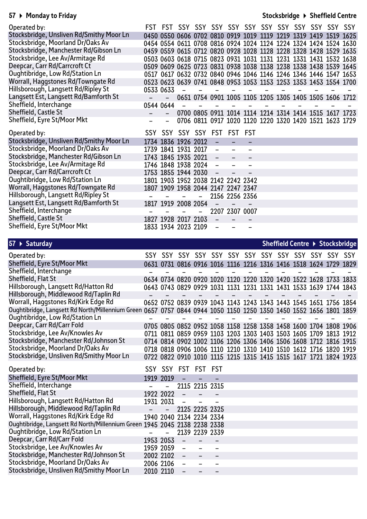#### **57 Monday to Friday**

#### **Stocksbridge Sheffield Centre**

| Operated by:                             |                     |   |                          |                                    |  |  |                                                                  |  |
|------------------------------------------|---------------------|---|--------------------------|------------------------------------|--|--|------------------------------------------------------------------|--|
| Stocksbridge, Unsliven Rd/Smithy Moor Ln |                     |   |                          |                                    |  |  | 0450 0550 0606 0702 0810 0919 1019 1119 1219 1319 1419 1519 1625 |  |
| Stocksbridge, Moorland Dr/Oaks Av        |                     |   |                          |                                    |  |  | 0454 0554 0611 0708 0816 0924 1024 1124 1224 1324 1424 1524 1630 |  |
| Stocksbridge, Manchester Rd/Gibson Ln    |                     |   |                          |                                    |  |  | 0459 0559 0615 0712 0820 0928 1028 1128 1228 1328 1428 1529 1635 |  |
| Stocksbridge, Lee Av/Armitage Rd         |                     |   |                          |                                    |  |  | 0503 0603 0618 0715 0823 0931 1031 1131 1231 1331 1431 1532 1638 |  |
| Deepcar, Carr Rd/Carrcroft Ct            |                     |   |                          |                                    |  |  | 0509 0609 0625 0723 0831 0938 1038 1138 1238 1338 1438 1539 1645 |  |
| Oughtibridge, Low Rd/Station Ln          |                     |   |                          |                                    |  |  | 0517 0617 0632 0732 0840 0946 1046 1146 1246 1346 1446 1547 1653 |  |
| Worrall, Haggstones Rd/Towngate Rd       |                     |   |                          |                                    |  |  | 0523 0623 0639 0741 0848 0953 1053 1153 1253 1353 1453 1554 1700 |  |
| Hillsborough, Langsett Rd/Ripley St      | 0533 0633           |   |                          |                                    |  |  |                                                                  |  |
| Langsett Est, Langsett Rd/Bamforth St    |                     |   |                          |                                    |  |  | 0651 0754 0901 1005 1105 1205 1305 1405 1505 1606 1712           |  |
| Sheffield, Interchange                   | 0544 0644           |   |                          |                                    |  |  |                                                                  |  |
| Sheffield, Castle St                     |                     |   |                          |                                    |  |  | 0700 0805 0911 1014 1114 1214 1314 1414 1515 1617 1723           |  |
| Sheffield, Eyre St/Moor Mkt              |                     |   |                          |                                    |  |  | 0706 0811 0917 1020 1120 1220 1320 1420 1521 1623 1729           |  |
|                                          |                     |   |                          |                                    |  |  |                                                                  |  |
| Operated by:                             |                     |   |                          | SSY SSY SSY SSY FST FST FST        |  |  |                                                                  |  |
| Stocksbridge, Unsliven Rd/Smithy Moor Ln | 1734 1836 1926 2012 |   |                          |                                    |  |  |                                                                  |  |
| Stocksbridge, Moorland Dr/Oaks Av        | 1739 1841 1931 2017 |   | $\overline{\phantom{0}}$ |                                    |  |  |                                                                  |  |
| Stocksbridge, Manchester Rd/Gibson Ln    | 1743 1845 1935 2021 |   | $\overline{\phantom{a}}$ |                                    |  |  |                                                                  |  |
| Stocksbridge, Lee Av/Armitage Rd         | 1746 1848 1938 2024 |   | $\qquad \qquad -$        |                                    |  |  |                                                                  |  |
| Deepcar, Carr Rd/Carrcroft Ct            | 1753 1855 1944 2030 |   |                          |                                    |  |  |                                                                  |  |
| Oughtibridge, Low Rd/Station Ln          |                     |   |                          | 1801 1903 1952 2038 2142 2242 2342 |  |  |                                                                  |  |
| Worrall, Haggstones Rd/Towngate Rd       |                     |   |                          | 1807 1909 1958 2044 2147 2247 2347 |  |  |                                                                  |  |
| Hillsborough, Langsett Rd/Ripley St      |                     | - |                          | 2156 2256 2356                     |  |  |                                                                  |  |
| Langsett Est, Langsett Rd/Bamforth St    | 1817 1919 2008 2054 |   |                          |                                    |  |  |                                                                  |  |
| Sheffield, Interchange                   |                     |   |                          | 2207 2307 0007                     |  |  |                                                                  |  |
| Sheffield, Castle St                     | 1827 1928 2017 2103 |   | $\overline{\phantom{a}}$ |                                    |  |  |                                                                  |  |

| $57 \triangleright$ Saturday                                              |           |           |                          |                          |  |  |                                                                  |  | Sheffield Centre ▶ Stocksbridge |
|---------------------------------------------------------------------------|-----------|-----------|--------------------------|--------------------------|--|--|------------------------------------------------------------------|--|---------------------------------|
| Operated by:                                                              |           |           |                          |                          |  |  |                                                                  |  |                                 |
| Sheffield, Eyre St/Moor Mkt                                               |           |           |                          |                          |  |  | 0631 0731 0816 0916 1016 1116 1216 1316 1416 1518 1624 1729 1829 |  |                                 |
| Sheffield, Interchange                                                    |           |           |                          |                          |  |  |                                                                  |  |                                 |
| Sheffield, Flat St                                                        |           |           |                          |                          |  |  | 0634 0734 0820 0920 1020 1120 1220 1320 1420 1522 1628 1733 1833 |  |                                 |
| Hillsborough, Langsett Rd/Hatton Rd                                       |           |           |                          |                          |  |  | 0643 0743 0829 0929 1031 1131 1231 1331 1431 1533 1639 1744 1843 |  |                                 |
| Hillsborough, Middlewood Rd/Taplin Rd                                     |           |           |                          |                          |  |  |                                                                  |  |                                 |
| Worrall, Haggstones Rd/Kirk Edge Rd                                       |           |           |                          |                          |  |  | 0652 0752 0839 0939 1043 1143 1243 1343 1443 1545 1651 1756 1854 |  |                                 |
| Oughtibridge, Langsett Rd North/Millennium Green                          |           |           |                          |                          |  |  | 0657 0757 0844 0944 1050 1150 1250 1350 1450 1552 1656 1801 1859 |  |                                 |
| Oughtibridge, Low Rd/Station Ln                                           |           |           |                          |                          |  |  |                                                                  |  |                                 |
| Deepcar, Carr Rd/Carr Fold                                                |           |           |                          |                          |  |  | 0705 0805 0852 0952 1058 1158 1258 1358 1458 1600 1704 1808 1906 |  |                                 |
| Stocksbridge, Lee Av/Knowles Av                                           |           |           |                          |                          |  |  | 0711 0811 0859 0959 1103 1203 1303 1403 1503 1605 1709 1813 1912 |  |                                 |
| Stocksbridge, Manchester Rd/Johnson St                                    |           |           |                          |                          |  |  | 0714 0814 0902 1002 1106 1206 1306 1406 1506 1608 1712 1816 1915 |  |                                 |
| Stocksbridge, Moorland Dr/Oaks Av                                         |           |           |                          |                          |  |  | 0718 0818 0906 1006 1110 1210 1310 1410 1510 1612 1716 1820 1919 |  |                                 |
| Stocksbridge, Unsliven Rd/Smithy Moor Ln                                  |           |           |                          |                          |  |  | 0722 0822 0910 1010 1115 1215 1315 1415 1515 1617 1721 1824 1923 |  |                                 |
| Operated by:                                                              |           |           |                          | SSY SSY FST FST FST      |  |  |                                                                  |  |                                 |
| Sheffield, Eyre St/Moor Mkt                                               | 1919 2019 |           |                          |                          |  |  |                                                                  |  |                                 |
| Sheffield, Interchange                                                    |           |           |                          | 2115 2215 2315           |  |  |                                                                  |  |                                 |
| Sheffield, Flat St                                                        |           | 1922 2022 |                          |                          |  |  |                                                                  |  |                                 |
| Hillsborough, Langsett Rd/Hatton Rd                                       |           | 1931 2031 | $\overline{\phantom{0}}$ |                          |  |  |                                                                  |  |                                 |
| Hillsborough, Middlewood Rd/Taplin Rd                                     |           |           |                          | 2125 2225 2325           |  |  |                                                                  |  |                                 |
| Worrall, Haggstones Rd/Kirk Edge Rd                                       |           |           |                          | 1940 2040 2134 2234 2334 |  |  |                                                                  |  |                                 |
| Oughtibridge, Langsett Rd North/Millennium Green 1945 2045 2138 2238 2338 |           |           |                          |                          |  |  |                                                                  |  |                                 |
| Oughtibridge, Low Rd/Station Ln                                           |           |           |                          | 2139 2239 2339           |  |  |                                                                  |  |                                 |
| Deepcar, Carr Rd/Carr Fold                                                |           | 1953 2053 | $\overline{\phantom{0}}$ |                          |  |  |                                                                  |  |                                 |
| Stocksbridge, Lee Av/Knowles Av                                           |           | 1959 2059 | $\overline{\phantom{0}}$ |                          |  |  |                                                                  |  |                                 |
| Stocksbridge, Manchester Rd/Johnson St                                    |           | 2002 2102 |                          |                          |  |  |                                                                  |  |                                 |
| Stocksbridge, Moorland Dr/Oaks Av                                         |           | 2006 2106 | $\overline{\phantom{0}}$ |                          |  |  |                                                                  |  |                                 |
| Stocksbridge, Unsliven Rd/Smithy Moor Ln                                  | 2010 2110 |           |                          |                          |  |  |                                                                  |  |                                 |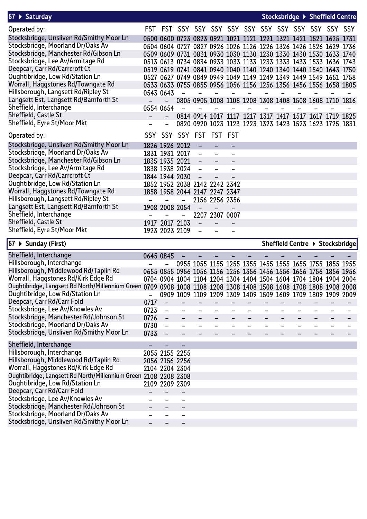| $57 \rightarrow$ Saturday                |                |                                                                  |                |  |  |  | Stocksbridge ▶ Sheffield Centre |
|------------------------------------------|----------------|------------------------------------------------------------------|----------------|--|--|--|---------------------------------|
| Operated by:                             |                |                                                                  |                |  |  |  |                                 |
| Stocksbridge, Unsliven Rd/Smithy Moor Ln |                | 0500 0600 0723 0823 0921 1021 1121 1221 1321 1421 1521 1625 1731 |                |  |  |  |                                 |
| Stocksbridge, Moorland Dr/Oaks Av        |                | 0504 0604 0727 0827 0926 1026 1126 1226 1326 1426 1526 1629 1736 |                |  |  |  |                                 |
| Stocksbridge, Manchester Rd/Gibson Ln    |                | 0509 0609 0731 0831 0930 1030 1130 1230 1330 1430 1530 1633 1740 |                |  |  |  |                                 |
| Stocksbridge, Lee Av/Armitage Rd         |                | 0513 0613 0734 0834 0933 1033 1133 1233 1333 1433 1533 1636 1743 |                |  |  |  |                                 |
| Deepcar, Carr Rd/Carrcroft Ct            |                | 0519 0619 0741 0841 0940 1040 1140 1240 1340 1440 1540 1643 1750 |                |  |  |  |                                 |
| Oughtibridge, Low Rd/Station Ln          |                | 0527 0627 0749 0849 0949 1049 1149 1249 1349 1449 1549 1651 1758 |                |  |  |  |                                 |
| Worrall, Haggstones Rd/Towngate Rd       |                | 0533 0633 0755 0855 0956 1056 1156 1256 1356 1456 1556 1658 1805 |                |  |  |  |                                 |
| Hillsborough, Langsett Rd/Ripley St      | 0543 0643      |                                                                  |                |  |  |  |                                 |
| Langsett Est, Langsett Rd/Bamforth St    |                | 0805 0905 1008 1108 1208 1308 1408 1508 1608 1710 1816           |                |  |  |  |                                 |
| Sheffield, Interchange                   | 0554 0654      |                                                                  |                |  |  |  |                                 |
| Sheffield, Castle St                     |                | 0814 0914 1017 1117 1217 1317 1417 1517 1617 1719 1825           |                |  |  |  |                                 |
| Sheffield, Eyre St/Moor Mkt              |                | 0820 0920 1023 1123 1223 1323 1423 1523 1623 1725 1831           |                |  |  |  |                                 |
| Operated by:                             |                | SSY SSY SSY FST FST FST                                          |                |  |  |  |                                 |
| Stocksbridge, Unsliven Rd/Smithy Moor Ln | 1826 1926 2012 |                                                                  |                |  |  |  |                                 |
| Stocksbridge, Moorland Dr/Oaks Av        | 1831 1931 2017 |                                                                  |                |  |  |  |                                 |
| Stocksbridge, Manchester Rd/Gibson Ln    | 1835 1935 2021 | $\qquad \qquad -$                                                |                |  |  |  |                                 |
| Stocksbridge, Lee Av/Armitage Rd         | 1838 1938 2024 |                                                                  |                |  |  |  |                                 |
| Deepcar, Carr Rd/Carrcroft Ct            | 1844 1944 2030 |                                                                  |                |  |  |  |                                 |
| Oughtibridge, Low Rd/Station Ln          |                | 1852 1952 2038 2142 2242 2342                                    |                |  |  |  |                                 |
| Worrall, Haggstones Rd/Towngate Rd       |                | 1858 1958 2044 2147 2247 2347                                    |                |  |  |  |                                 |
| Hillsborough, Langsett Rd/Ripley St      |                |                                                                  | 2156 2256 2356 |  |  |  |                                 |
| Langsett Est, Langsett Rd/Bamforth St    | 1908 2008 2054 |                                                                  |                |  |  |  |                                 |
| Sheffield, Interchange                   |                |                                                                  | 2207 2307 0007 |  |  |  |                                 |
| Sheffield, Castle St                     | 1917 2017 2103 |                                                                  |                |  |  |  |                                 |
| Sheffield, Eyre St/Moor Mkt              | 1923 2023 2109 |                                                                  |                |  |  |  |                                 |

| $\vert$ 57 ▶ Sunday (First)                                     |      |                   |      |      |  |                                                                  |  |  |                | Sheffield Centre ▶ Stocksbridge |
|-----------------------------------------------------------------|------|-------------------|------|------|--|------------------------------------------------------------------|--|--|----------------|---------------------------------|
| Sheffield, Interchange                                          |      | 0645 0845         |      |      |  |                                                                  |  |  |                |                                 |
| Hillsborough, Interchange                                       |      |                   |      |      |  | 0955 1055 1155 1255 1355 1455 1555 1655 1755 1855 1955           |  |  |                |                                 |
| Hillsborough, Middlewood Rd/Taplin Rd                           |      |                   |      |      |  | 0655 0855 0956 1056 1156 1256 1356 1456 1556 1656 1756 1856 1956 |  |  |                |                                 |
| Worrall, Haggstones Rd/Kirk Edge Rd                             |      |                   |      |      |  | 0704 0904 1004 1104 1204 1304 1404 1504 1604 1704 1804 1904 2004 |  |  |                |                                 |
| Oughtibridge, Langsett Rd North/Millennium Green 0709           |      |                   |      |      |  | 0908 1008 1108 1208 1308 1408 1508 1608 1708 1808 1908 2008      |  |  |                |                                 |
| Oughtibridge, Low Rd/Station Ln                                 |      | 0909              | 1009 | 1109 |  | 1209 1309 1409 1509 1609 1709                                    |  |  | 1809 1909 2009 |                                 |
| Deepcar, Carr Rd/Carr Fold                                      | 0717 |                   |      |      |  |                                                                  |  |  |                |                                 |
| Stocksbridge, Lee Av/Knowles Av                                 | 0723 |                   |      |      |  |                                                                  |  |  |                |                                 |
| Stocksbridge, Manchester Rd/Johnson St                          | 0726 | $\qquad \qquad -$ |      |      |  |                                                                  |  |  |                |                                 |
| Stocksbridge, Moorland Dr/Oaks Av                               | 0730 |                   |      |      |  |                                                                  |  |  |                |                                 |
| Stocksbridge, Unsliven Rd/Smithy Moor Ln                        | 0733 |                   |      |      |  |                                                                  |  |  |                |                                 |
| Sheffield, Interchange                                          |      |                   |      |      |  |                                                                  |  |  |                |                                 |
| Hillsborough, Interchange                                       |      | 2055 2155 2255    |      |      |  |                                                                  |  |  |                |                                 |
| Hillsborough, Middlewood Rd/Taplin Rd                           |      | 2056 2156 2256    |      |      |  |                                                                  |  |  |                |                                 |
| Worrall, Haggstones Rd/Kirk Edge Rd                             |      | 2104 2204 2304    |      |      |  |                                                                  |  |  |                |                                 |
| Oughtibridge, Langsett Rd North/Millennium Green 2108 2208 2308 |      |                   |      |      |  |                                                                  |  |  |                |                                 |
| Oughtibridge, Low Rd/Station Ln                                 |      | 2109 2209 2309    |      |      |  |                                                                  |  |  |                |                                 |
| Deepcar, Carr Rd/Carr Fold                                      |      |                   |      |      |  |                                                                  |  |  |                |                                 |
| Stocksbridge, Lee Av/Knowles Av                                 |      |                   |      |      |  |                                                                  |  |  |                |                                 |
| Stocksbridge, Manchester Rd/Johnson St                          |      |                   |      |      |  |                                                                  |  |  |                |                                 |
| Stocksbridge, Moorland Dr/Oaks Av                               |      |                   |      |      |  |                                                                  |  |  |                |                                 |
| Stocksbridge, Unsliven Rd/Smithy Moor Ln                        |      |                   |      |      |  |                                                                  |  |  |                |                                 |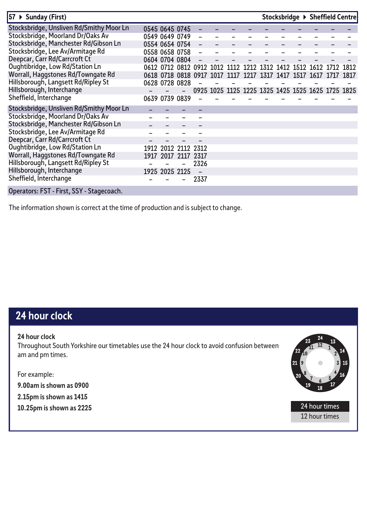| 57 ▶ Sunday (First)                       |      |                |           |                     |                                                   |      |      | Stocksbridge ▶ Sheffield Centre         |  |           |  |
|-------------------------------------------|------|----------------|-----------|---------------------|---------------------------------------------------|------|------|-----------------------------------------|--|-----------|--|
| Stocksbridge, Unsliven Rd/Smithy Moor Ln  |      | 0545 0645 0745 |           |                     |                                                   |      |      |                                         |  |           |  |
| Stocksbridge, Moorland Dr/Oaks Av         |      | 0549 0649 0749 |           |                     |                                                   |      |      |                                         |  |           |  |
| Stocksbridge, Manchester Rd/Gibson Ln     |      | 0554 0654 0754 |           |                     |                                                   |      |      |                                         |  |           |  |
| Stocksbridge, Lee Av/Armitage Rd          |      | 0558 0658 0758 |           |                     |                                                   |      |      |                                         |  |           |  |
| Deepcar, Carr Rd/Carrcroft Ct             |      | 0604 0704 0804 |           |                     |                                                   |      |      |                                         |  |           |  |
| Oughtibridge, Low Rd/Station Ln           |      | 0612 0712 0812 |           | <b>0912</b>         | 1012                                              |      |      | 1112 1212 1312 1412 1512 1612 1712 1812 |  |           |  |
| Worrall, Haggstones Rd/Towngate Rd        |      |                |           | 0618 0718 0818 0917 | 1017                                              | 1117 | 1917 | 1317 1417 1517 1617                     |  | 1717 1817 |  |
| Hillsborough, Langsett Rd/Ripley St       |      | 0628 0728 0828 |           |                     |                                                   |      |      |                                         |  |           |  |
| Hillsborough, Interchange                 |      |                |           |                     | 0925 1025 1125 1225 1325 1425 1525 1625 1725 1825 |      |      |                                         |  |           |  |
| Sheffield, Interchange                    |      | 0639 0739 0839 |           |                     |                                                   |      |      |                                         |  |           |  |
| Stocksbridge, Unsliven Rd/Smithy Moor Ln  |      |                |           |                     |                                                   |      |      |                                         |  |           |  |
| Stocksbridge, Moorland Dr/Oaks Av         |      |                |           |                     |                                                   |      |      |                                         |  |           |  |
| Stocksbridge, Manchester Rd/Gibson Ln     |      |                |           |                     |                                                   |      |      |                                         |  |           |  |
| Stocksbridge, Lee Av/Armitage Rd          |      |                |           |                     |                                                   |      |      |                                         |  |           |  |
| Deepcar, Carr Rd/Carrcroft Ct             |      |                |           |                     |                                                   |      |      |                                         |  |           |  |
| Oughtibridge, Low Rd/Station Ln           | 1912 | 2012           | 2112 2312 |                     |                                                   |      |      |                                         |  |           |  |
| Worrall, Haggstones Rd/Towngate Rd        |      | 1917 2017      | 211/      | 2317                |                                                   |      |      |                                         |  |           |  |
| Hillsborough, Langsett Rd/Ripley St       |      |                |           | 2326                |                                                   |      |      |                                         |  |           |  |
| Hillsborough, Interchange                 |      | 1925 2025 2125 |           |                     |                                                   |      |      |                                         |  |           |  |
| Sheffield, Interchange                    |      |                |           | 2337                |                                                   |      |      |                                         |  |           |  |
| Operators: FST - First, SSY - Stagecoach. |      |                |           |                     |                                                   |      |      |                                         |  |           |  |

The information shown is correct at the time of production and is subject to change.

#### **24 hour clock**

**24 hour clock** Throughout South Yorkshire our timetables use the 24 hour clock to avoid confusion between am and pm times.

For example:

**9.00am is shown as 0900**

**2.15pm is shown as 1415**

**10.25pm is shown as 2225** 24 hour times



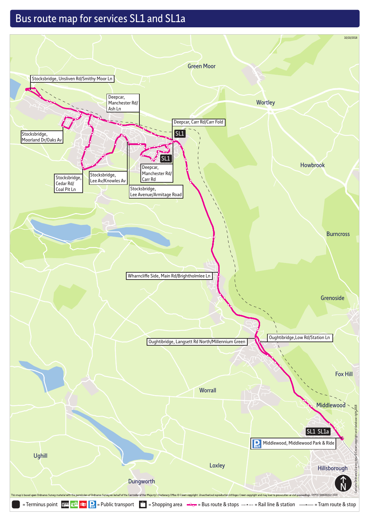#### Bus route map for services SL1 and SL1a

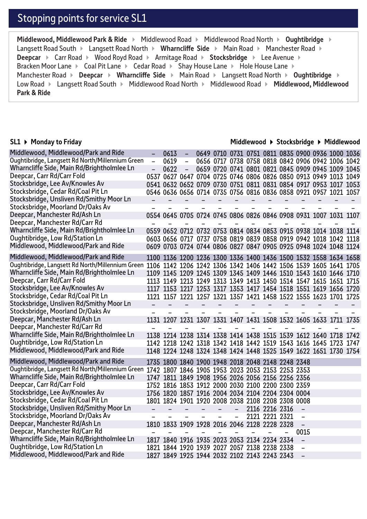#### Stopping points for service SL1

**Middlewood, Middlewood Park & Ride ▶ Middlewood Road ▶ Middlewood Road North ▶ Oughtibridge ▶** Langsett Road South ▶ Langsett Road North ▶ Wharncliffe Side ▶ Main Road ▶ Manchester Road ▶ **Deepcar**  $\triangleright$  Carr Road  $\triangleright$  Wood Royd Road  $\triangleright$  Armitage Road  $\triangleright$  Stocksbridge  $\triangleright$  Lee Avenue  $\triangleright$ Bracken Moor Lane  $\triangleright$  Coal Pit Lane  $\triangleright$  Cedar Road  $\triangleright$  Shay House Lane  $\triangleright$  Hole House Lane  $\triangleright$ Manchester Road **> Deepcar > Wharncliffe Side** > Main Road > Langsett Road North > Oughtibridge > Low Road Langsett Road South Middlewood Road North Middlewood Road **Middlewood, Middlewood Park & Ride** 

#### **SL1 Monday to Friday**

#### **Middlewood Stocksbridge Middlewood**

| Middlewood, Middlewood/Park and Ride                                                                                                             |                          | 0613                                              |                                 |                  |                          |                          |                  |                          |                          | 0649 0710 0731 0751 0811 0835 0900 0936 1000 1036                                                                                    |                          |                   |  |
|--------------------------------------------------------------------------------------------------------------------------------------------------|--------------------------|---------------------------------------------------|---------------------------------|------------------|--------------------------|--------------------------|------------------|--------------------------|--------------------------|--------------------------------------------------------------------------------------------------------------------------------------|--------------------------|-------------------|--|
| Oughtibridge, Langsett Rd North/Millennium Green                                                                                                 | $\overline{\phantom{0}}$ | 0619                                              | $\overline{\phantom{a}}$        |                  |                          |                          |                  |                          |                          | 0656 0717 0738 0758 0818 0842 0906 0942 1006 1042                                                                                    |                          |                   |  |
| Wharncliffe Side, Main Rd/Brightholmlee Ln                                                                                                       |                          | 0622                                              | $\overline{\phantom{a}}$        |                  |                          |                          |                  |                          |                          | 0659 0720 0741 0801 0821 0845 0909 0945 1009 1045                                                                                    |                          |                   |  |
| Deepcar, Carr Rd/Carr Fold                                                                                                                       |                          |                                                   |                                 |                  |                          |                          |                  |                          |                          | 0537 0627 0647 0704 0725 0746 0806 0826 0850 0913 0949 1013 1049                                                                     |                          |                   |  |
| Stocksbridge, Lee Av/Knowles Av                                                                                                                  |                          |                                                   |                                 |                  |                          |                          |                  |                          |                          | 0541 0632 0652 0709 0730 0751 0811 0831 0854 0917 0953 1017 1053                                                                     |                          |                   |  |
| Stocksbridge, Cedar Rd/Coal Pit Ln                                                                                                               |                          |                                                   |                                 |                  |                          |                          |                  |                          |                          | 0546 0636 0656 0714 0735 0756 0816 0836 0858 0921 0957 1021 1057                                                                     |                          |                   |  |
| Stocksbridge, Unsliven Rd/Smithy Moor Ln                                                                                                         |                          |                                                   | $-$                             | $-$              | $ \,$                    | $\overline{\phantom{m}}$ | $\sim$ .         | $\sim$                   | $\overline{\phantom{a}}$ | $\qquad \qquad -$                                                                                                                    | $\overline{\phantom{a}}$ |                   |  |
| Stocksbridge, Moorland Dr/Oaks Av                                                                                                                |                          |                                                   |                                 |                  |                          |                          |                  |                          |                          |                                                                                                                                      |                          |                   |  |
| Deepcar, Manchester Rd/Ash Ln                                                                                                                    |                          |                                                   |                                 |                  |                          |                          |                  |                          |                          | 0554 0645 0705 0724 0745 0806 0826 0846 0908 0931 1007 1031 1107                                                                     |                          |                   |  |
| Deepcar, Manchester Rd/Carr Rd                                                                                                                   |                          |                                                   |                                 |                  |                          |                          |                  |                          |                          |                                                                                                                                      |                          |                   |  |
| Wharncliffe Side, Main Rd/Brightholmlee Ln                                                                                                       |                          |                                                   |                                 |                  |                          |                          |                  |                          |                          | 0559 0652 0712 0732 0753 0814 0834 0853 0915 0938 1014 1038 1114                                                                     |                          |                   |  |
| Oughtibridge, Low Rd/Station Ln                                                                                                                  |                          |                                                   |                                 |                  |                          |                          |                  |                          |                          | 0603 0656 0717 0737 0758 0819 0839 0858 0919 0942 1018 1042 1118                                                                     |                          |                   |  |
| Middlewood, Middlewood/Park and Ride                                                                                                             |                          |                                                   |                                 |                  |                          |                          |                  |                          |                          | 0609 0703 0724 0744 0806 0827 0847 0905 0925 0948 1024 1048 1124                                                                     |                          |                   |  |
| Middlewood, Middlewood/Park and Ride                                                                                                             |                          |                                                   |                                 |                  |                          |                          |                  |                          |                          | 1100 1136 1200 1236 1300 1336 1400 1436 1500 1532 1558 1634 1658                                                                     |                          |                   |  |
| Oughtibridge, Langsett Rd North/Millennium Green 1106 1142 1206 1242 1306 1342 1406 1442 1506 1539 1605 1641 1705                                |                          |                                                   |                                 |                  |                          |                          |                  |                          |                          |                                                                                                                                      |                          |                   |  |
| Wharncliffe Side, Main Rd/Brightholmlee Ln                                                                                                       |                          |                                                   |                                 |                  |                          |                          |                  |                          |                          | 1109 1145 1209 1245 1309 1345 1409 1446 1510 1543 1610 1646 1710                                                                     |                          |                   |  |
| Deepcar, Carr Rd/Carr Fold                                                                                                                       |                          |                                                   |                                 |                  |                          |                          |                  |                          |                          | 1113 1149 1213 1249 1313 1349 1413 1450 1514 1547 1615 1651 1715                                                                     |                          |                   |  |
| Stocksbridge, Lee Av/Knowles Av                                                                                                                  |                          |                                                   |                                 |                  |                          |                          |                  |                          |                          | 1117 1153 1217 1253 1317 1353 1417 1454 1518 1551 1619 1656 1720                                                                     |                          |                   |  |
| Stocksbridge, Cedar Rd/Coal Pit Ln                                                                                                               |                          |                                                   |                                 |                  |                          |                          |                  |                          |                          | 1121 1157 1221 1257 1321 1357 1421 1458 1522 1555 1623 1701 1725                                                                     |                          |                   |  |
|                                                                                                                                                  |                          |                                                   |                                 |                  |                          |                          |                  |                          |                          |                                                                                                                                      |                          |                   |  |
|                                                                                                                                                  | $\overline{\phantom{0}}$ | $\sim 100$                                        | $\sim$ 100 $\mu$                | $\sim$ 100 $\pm$ | $\sim$ 100 $\mu$         | $\sim$ 100 $\mu$         | $\sim$ 100 $\mu$ | $\overline{\phantom{m}}$ | $\overline{\phantom{a}}$ | $\qquad \qquad -$                                                                                                                    | $\qquad \qquad -$        | $\qquad \qquad -$ |  |
| Stocksbridge, Unsliven Rd/Smithy Moor Ln<br>Stocksbridge, Moorland Dr/Oaks Av                                                                    |                          |                                                   |                                 |                  |                          |                          |                  |                          |                          |                                                                                                                                      |                          |                   |  |
| Deepcar, Manchester Rd/Ash Ln                                                                                                                    |                          |                                                   |                                 |                  |                          |                          |                  |                          |                          | 1131 1207 1231 1307 1331 1407 1431 1508 1532 1605 1633 1711 1735                                                                     |                          |                   |  |
| Deepcar, Manchester Rd/Carr Rd                                                                                                                   |                          |                                                   |                                 |                  |                          |                          |                  |                          |                          |                                                                                                                                      |                          |                   |  |
| Wharncliffe Side, Main Rd/Brightholmlee Ln                                                                                                       |                          |                                                   |                                 |                  |                          |                          |                  |                          |                          |                                                                                                                                      |                          |                   |  |
| Oughtibridge, Low Rd/Station Ln                                                                                                                  |                          |                                                   |                                 |                  |                          |                          |                  |                          |                          | 1138 1214 1238 1314 1338 1414 1438 1515 1539 1612 1640 1718 1742                                                                     |                          |                   |  |
| Middlewood, Middlewood/Park and Ride                                                                                                             |                          |                                                   |                                 |                  |                          |                          |                  |                          |                          | 1142 1218 1242 1318 1342 1418 1442 1519 1543 1616 1645 1723 1747<br>1148 1224 1248 1324 1348 1424 1448 1525 1549 1622 1651 1730 1754 |                          |                   |  |
| Middlewood, Middlewood/Park and Ride                                                                                                             |                          |                                                   |                                 |                  |                          |                          |                  |                          |                          |                                                                                                                                      |                          |                   |  |
|                                                                                                                                                  |                          | 1735 1800 1840 1900 1948 2018 2048 2148 2248 2348 |                                 |                  |                          |                          |                  |                          |                          |                                                                                                                                      |                          |                   |  |
| Oughtibridge, Langsett Rd North/Millennium Green 1742 1807 1846 1905 1953 2023 2053 2153 2253 2353<br>Wharncliffe Side, Main Rd/Brightholmlee Ln |                          |                                                   |                                 |                  |                          |                          |                  |                          |                          |                                                                                                                                      |                          |                   |  |
| Deepcar, Carr Rd/Carr Fold                                                                                                                       |                          | 1747 1811 1849 1908 1956 2026 2056 2156 2256 2356 |                                 |                  |                          |                          |                  |                          |                          |                                                                                                                                      |                          |                   |  |
|                                                                                                                                                  |                          | 1752 1816 1853 1912 2000 2030 2100 2200 2300 2359 |                                 |                  |                          |                          |                  |                          |                          |                                                                                                                                      |                          |                   |  |
| Stocksbridge, Lee Av/Knowles Av<br>Stocksbridge, Cedar Rd/Coal Pit Ln                                                                            |                          | 1756 1820 1857 1916 2004 2034 2104 2204 2304 0004 |                                 |                  |                          |                          |                  |                          |                          |                                                                                                                                      |                          |                   |  |
|                                                                                                                                                  |                          | 1801 1824 1901 1920 2008 2038 2108 2208 2308 0008 |                                 |                  | $\overline{\phantom{a}}$ | $\overline{\phantom{a}}$ |                  |                          |                          | $\overline{\phantom{a}}$                                                                                                             |                          |                   |  |
| Stocksbridge, Unsliven Rd/Smithy Moor Ln                                                                                                         | $\overline{\phantom{0}}$ | $\sim$ 100 $\mu$                                  | $\frac{1}{2}$ and $\frac{1}{2}$ | $ -$             | $-$                      | $\qquad \qquad -$        |                  | 2116 2216 2316           |                          | $\qquad \qquad -$                                                                                                                    |                          |                   |  |
| Stocksbridge, Moorland Dr/Oaks Av<br>Deepcar, Manchester Rd/Ash Ln                                                                               |                          |                                                   |                                 |                  |                          |                          |                  | 2121 2221 2321           |                          | $\qquad \qquad -$                                                                                                                    |                          |                   |  |
| Deepcar, Manchester Rd/Carr Rd                                                                                                                   |                          | 1810 1833 1909 1928 2016 2046 2128 2228 2328      |                                 |                  |                          | $\qquad \qquad -$        |                  |                          |                          | 0015                                                                                                                                 |                          |                   |  |
| Wharncliffe Side, Main Rd/Brightholmlee Ln                                                                                                       |                          | 1817 1840 1916 1935 2023 2053 2134 2234 2334      |                                 |                  |                          |                          |                  |                          |                          | $\overline{\phantom{0}}$                                                                                                             |                          |                   |  |
| Oughtibridge, Low Rd/Station Ln                                                                                                                  |                          | 1821 1844 1920 1939 2027 2057 2138 2238 2338      |                                 |                  |                          |                          |                  |                          |                          | $\qquad \qquad -$                                                                                                                    |                          |                   |  |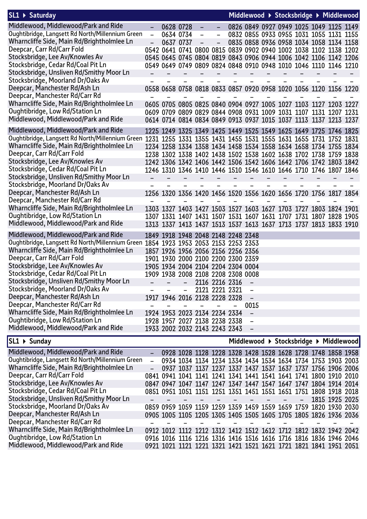| SL1 ▶ Saturday                                                                                                    |                |                                                                          |                          |                   |                          |                          |                          |                          |                          |                          | Middlewood ▶ Stocksbridge ▶ Middlewood  |  |
|-------------------------------------------------------------------------------------------------------------------|----------------|--------------------------------------------------------------------------|--------------------------|-------------------|--------------------------|--------------------------|--------------------------|--------------------------|--------------------------|--------------------------|-----------------------------------------|--|
| Middlewood, Middlewood/Park and Ride                                                                              | $\equiv$       | 0628 0728                                                                |                          |                   |                          |                          |                          |                          |                          |                          | 0826 0849 0927 0949 1025 1049 1125 1149 |  |
| Oughtibridge, Langsett Rd North/Millennium Green                                                                  | $\overline{a}$ | 0634 0734                                                                |                          | $\qquad \qquad -$ | $\qquad \qquad -$        |                          |                          |                          |                          |                          | 0832 0855 0933 0955 1031 1055 1131 1155 |  |
| Wharncliffe Side, Main Rd/Brightholmlee Ln                                                                        |                | 0637 0737                                                                |                          |                   |                          |                          |                          |                          |                          |                          | 0835 0858 0936 0958 1034 1058 1134 1158 |  |
| Deepcar, Carr Rd/Carr Fold                                                                                        |                | 0542 0641 0741 0800 0815 0839 0902 0940 1002 1038 1102 1138 1202         |                          |                   |                          |                          |                          |                          |                          |                          |                                         |  |
| Stocksbridge, Lee Av/Knowles Av                                                                                   |                | 0545 0645 0745 0804 0819 0843 0906 0944 1006 1042 1106 1142 1206         |                          |                   |                          |                          |                          |                          |                          |                          |                                         |  |
| Stocksbridge, Cedar Rd/Coal Pit Ln                                                                                |                | 0549 0649 0749 0809 0824 0848 0910 0948 1010 1046 1110 1146 1210         |                          |                   |                          |                          |                          |                          |                          |                          |                                         |  |
| Stocksbridge, Unsliven Rd/Smithy Moor Ln                                                                          |                | $\sim$                                                                   | $ -$                     | $ -$              | $-$                      | $\overline{\phantom{m}}$ | $\overline{\phantom{m}}$ | $\overline{\phantom{a}}$ | $\overline{\phantom{a}}$ | $\overline{\phantom{0}}$ |                                         |  |
| Stocksbridge, Moorland Dr/Oaks Av                                                                                 |                |                                                                          |                          |                   |                          |                          |                          |                          |                          |                          |                                         |  |
| Deepcar, Manchester Rd/Ash Ln                                                                                     |                | 0558 0658 0758 0818 0833 0857 0920 0958 1020 1056 1120 1156 1220         |                          |                   |                          |                          |                          |                          |                          |                          |                                         |  |
| Deepcar, Manchester Rd/Carr Rd                                                                                    |                |                                                                          |                          |                   |                          |                          |                          |                          |                          |                          |                                         |  |
| Wharncliffe Side, Main Rd/Brightholmlee Ln                                                                        |                | 0605 0705 0805 0825 0840 0904 0927 1005 1027 1103 1127 1203 1227         |                          |                   |                          |                          |                          |                          |                          |                          |                                         |  |
| Oughtibridge, Low Rd/Station Ln                                                                                   |                | 0609 0709 0809 0829 0844 0908 0931 1009 1031 1107 1131 1207 1231         |                          |                   |                          |                          |                          |                          |                          |                          |                                         |  |
| Middlewood, Middlewood/Park and Ride                                                                              |                | 0614 0714 0814 0834 0849 0913 0937 1015 1037 1113 1137 1213 1237         |                          |                   |                          |                          |                          |                          |                          |                          |                                         |  |
| Middlewood, Middlewood/Park and Ride                                                                              |                | 1225 1249 1325 1349 1425 1449 1525 1549 1625 1649 1725 1746 1825         |                          |                   |                          |                          |                          |                          |                          |                          |                                         |  |
| Oughtibridge, Langsett Rd North/Millennium Green 1231 1255 1331 1355 1431 1455 1531 1555 1631 1655 1731 1752 1831 |                |                                                                          |                          |                   |                          |                          |                          |                          |                          |                          |                                         |  |
| Wharncliffe Side, Main Rd/Brightholmlee Ln                                                                        |                | 1234 1258 1334 1358 1434 1458 1534 1558 1634 1658 1734 1755 1834         |                          |                   |                          |                          |                          |                          |                          |                          |                                         |  |
| Deepcar, Carr Rd/Carr Fold                                                                                        |                | 1238 1302 1338 1402 1438 1502 1538 1602 1638 1702 1738 1759 1838         |                          |                   |                          |                          |                          |                          |                          |                          |                                         |  |
| Stocksbridge, Lee Av/Knowles Av                                                                                   |                | 1242 1306 1342 1406 1442 1506 1542 1606 1642 1706 1742 1803 1842         |                          |                   |                          |                          |                          |                          |                          |                          |                                         |  |
| Stocksbridge, Cedar Rd/Coal Pit Ln                                                                                |                | 1246 1310 1346 1410 1446 1510 1546 1610 1646 1710 1746 1807 1846         |                          |                   |                          |                          |                          |                          |                          |                          |                                         |  |
| Stocksbridge, Unsliven Rd/Smithy Moor Ln                                                                          |                |                                                                          | $\overline{\phantom{a}}$ |                   | $\overline{\phantom{a}}$ | $\overline{\phantom{a}}$ | $\overline{\phantom{a}}$ | $\overline{\phantom{m}}$ | $\overline{\phantom{m}}$ | $\overline{\phantom{0}}$ |                                         |  |
| Stocksbridge, Moorland Dr/Oaks Av                                                                                 |                |                                                                          |                          |                   |                          |                          |                          |                          |                          |                          |                                         |  |
| Deepcar, Manchester Rd/Ash Ln                                                                                     |                | 1256 1320 1356 1420 1456 1520 1556 1620 1656 1720 1756 1817 1854         |                          |                   |                          |                          |                          |                          |                          |                          |                                         |  |
| Deepcar, Manchester Rd/Carr Rd                                                                                    |                |                                                                          |                          |                   |                          |                          |                          |                          |                          |                          |                                         |  |
| Wharncliffe Side, Main Rd/Brightholmlee Ln                                                                        |                | 1303 1327 1403 1427 1503 1527 1603 1627 1703 1727 1803 1824 1901         |                          |                   |                          |                          |                          |                          |                          |                          |                                         |  |
| Oughtibridge, Low Rd/Station Ln                                                                                   |                | 1307 1331 1407 1431 1507 1531 1607 1631 1707 1731 1807 1828 1905         |                          |                   |                          |                          |                          |                          |                          |                          |                                         |  |
| Middlewood, Middlewood/Park and Ride                                                                              |                | 1313 1337 1413 1437 1513 1537 1613 1637 1713 1737 1813 1833 1910         |                          |                   |                          |                          |                          |                          |                          |                          |                                         |  |
| Middlewood, Middlewood/Park and Ride                                                                              |                | 1849 1918 1948 2048 2148 2248 2348                                       |                          |                   |                          |                          |                          |                          |                          |                          |                                         |  |
| Oughtibridge, Langsett Rd North/Millennium Green 1854 1923 1953 2053 2153 2253 2353                               |                |                                                                          |                          |                   |                          |                          |                          |                          |                          |                          |                                         |  |
| Wharncliffe Side, Main Rd/Brightholmlee Ln                                                                        |                | 1857 1926 1956 2056 2156 2256 2356                                       |                          |                   |                          |                          |                          |                          |                          |                          |                                         |  |
| Deepcar, Carr Rd/Carr Fold                                                                                        |                | 1901 1930 2000 2100 2200 2300 2359                                       |                          |                   |                          |                          |                          |                          |                          |                          |                                         |  |
| Stocksbridge, Lee Av/Knowles Av                                                                                   |                |                                                                          |                          |                   |                          |                          |                          |                          |                          |                          |                                         |  |
| Stocksbridge, Cedar Rd/Coal Pit Ln                                                                                |                | 1905 1934 2004 2104 2204 2304 0004<br>1909 1938 2008 2108 2208 2308 0008 |                          |                   |                          |                          |                          |                          |                          |                          |                                         |  |
| Stocksbridge, Unsliven Rd/Smithy Moor Ln                                                                          |                |                                                                          |                          |                   |                          |                          |                          |                          |                          |                          |                                         |  |
| Stocksbridge, Moorland Dr/Oaks Av                                                                                 |                |                                                                          | $\overline{\phantom{0}}$ |                   | 2116 2216 2316           |                          |                          |                          |                          |                          |                                         |  |
| Deepcar, Manchester Rd/Ash Ln                                                                                     |                |                                                                          |                          |                   | 2121 2221 2321           |                          |                          |                          |                          |                          |                                         |  |
| Deepcar, Manchester Rd/Carr Rd                                                                                    |                | 1917 1946 2016 2128 2228 2328                                            |                          |                   |                          |                          |                          |                          |                          |                          |                                         |  |
| Wharncliffe Side, Main Rd/Brightholmlee Ln                                                                        |                |                                                                          |                          |                   |                          |                          | 0015                     |                          |                          |                          |                                         |  |
|                                                                                                                   |                | 1924 1953 2023 2134 2234 2334                                            |                          |                   |                          |                          | $\overline{\phantom{a}}$ |                          |                          |                          |                                         |  |
| Oughtibridge, Low Rd/Station Ln<br>Middlewood, Middlewood/Park and Ride                                           |                | 1928 1957 2027 2138 2238 2338                                            |                          |                   |                          |                          | $\qquad \qquad$          |                          |                          |                          |                                         |  |
|                                                                                                                   |                | 1933 2002 2032 2143 2243 2343                                            |                          |                   |                          |                          | $\overline{\phantom{m}}$ |                          |                          |                          |                                         |  |
| SL1 ▶ Sunday                                                                                                      |                |                                                                          |                          |                   |                          |                          |                          |                          |                          |                          | Middlewood ▶ Stocksbridge ▶ Middlewood  |  |

| $SL1$ $\triangleright$ Sunday                    |                          |  |  |  |                                                                                                                                                                                                                                      |                          | Middlewood ▶ Stocksbridge ▶ Middlewood                           |  |
|--------------------------------------------------|--------------------------|--|--|--|--------------------------------------------------------------------------------------------------------------------------------------------------------------------------------------------------------------------------------------|--------------------------|------------------------------------------------------------------|--|
| Middlewood, Middlewood/Park and Ride             |                          |  |  |  |                                                                                                                                                                                                                                      |                          | 0928 1028 1128 1228 1328 1428 1528 1628 1728 1748 1858 1958      |  |
| Oughtibridge, Langsett Rd North/Millennium Green | $\overline{\phantom{0}}$ |  |  |  |                                                                                                                                                                                                                                      |                          | 0934 1034 1134 1234 1334 1434 1534 1634 1734 1753 1903 2003      |  |
| Wharncliffe Side, Main Rd/Brightholmlee Ln       | $-$                      |  |  |  |                                                                                                                                                                                                                                      |                          | 0937 1037 1137 1237 1337 1437 1537 1637 1737 1756 1906 2006      |  |
| Deepcar, Carr Rd/Carr Fold                       |                          |  |  |  |                                                                                                                                                                                                                                      |                          | 0841 0941 1041 1141 1241 1341 1441 1541 1641 1741 1800 1910 2010 |  |
| Stocksbridge, Lee Av/Knowles Av                  |                          |  |  |  |                                                                                                                                                                                                                                      |                          | 0847 0947 1047 1147 1247 1347 1447 1547 1647 1747 1804 1914 2014 |  |
| Stocksbridge, Cedar Rd/Coal Pit Ln               |                          |  |  |  |                                                                                                                                                                                                                                      |                          | 0851 0951 1051 1151 1251 1351 1451 1551 1651 1751 1808 1918 2018 |  |
| Stocksbridge, Unsliven Rd/Smithy Moor Ln         |                          |  |  |  | <u> 2002 - Andrea Statist Andrea Statist Andrea Statist Andrea Statist Andrea Statist Andrea Statist Andrea Statist Andrea Statist Andrea Statist Andrea Statist Andrea Statist Andrea Statist Andrea Statist Andrea Statist And</u> | $\overline{\phantom{m}}$ | 1815 1925 2025                                                   |  |
| Stocksbridge, Moorland Dr/Oaks Av                |                          |  |  |  |                                                                                                                                                                                                                                      |                          | 0859 0959 1059 1159 1259 1359 1459 1559 1659 1759 1820 1930 2030 |  |
| Deepcar, Manchester Rd/Ash Ln                    |                          |  |  |  |                                                                                                                                                                                                                                      |                          | 0905 1005 1105 1205 1305 1405 1505 1605 1705 1805 1826 1936 2036 |  |
| Deepcar, Manchester Rd/Carr Rd                   |                          |  |  |  |                                                                                                                                                                                                                                      |                          |                                                                  |  |
| Wharncliffe Side, Main Rd/Brightholmlee Ln       |                          |  |  |  |                                                                                                                                                                                                                                      |                          | 0912 1012 1112 1212 1312 1412 1512 1612 1712 1812 1832 1942 2042 |  |
| Oughtibridge, Low Rd/Station Ln                  |                          |  |  |  |                                                                                                                                                                                                                                      |                          | 0916 1016 1116 1216 1316 1416 1516 1616 1716 1816 1836 1946 2046 |  |
| Middlewood, Middlewood/Park and Ride             |                          |  |  |  |                                                                                                                                                                                                                                      |                          | 0921 1021 1121 1221 1321 1421 1521 1621 1721 1821 1841 1951 2051 |  |
|                                                  |                          |  |  |  |                                                                                                                                                                                                                                      |                          |                                                                  |  |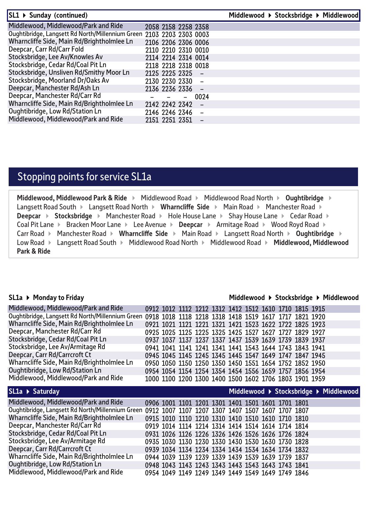| SL1 ▶ Sunday (continued)                                             |                     |                          |      | Middlewood ▶ Stocksbridge ▶ Middlewood |
|----------------------------------------------------------------------|---------------------|--------------------------|------|----------------------------------------|
| Middlewood, Middlewood/Park and Ride                                 | 2058 2158 2258 2358 |                          |      |                                        |
| Oughtibridge, Langsett Rd North/Millennium Green 2103 2203 2303 0003 |                     |                          |      |                                        |
| Wharncliffe Side, Main Rd/Brightholmlee Ln                           | 2106 2206 2306 0006 |                          |      |                                        |
| Deepcar, Carr Rd/Carr Fold                                           | 2110 2210 2310 0010 |                          |      |                                        |
| Stocksbridge, Lee Av/Knowles Av                                      | 2114 2214 2314 0014 |                          |      |                                        |
| Stocksbridge, Cedar Rd/Coal Pit Ln                                   | 2118 2218 2318 0018 |                          |      |                                        |
| Stocksbridge, Unsliven Rd/Smithy Moor Ln                             | 2125 2225 2325 -    |                          |      |                                        |
| Stocksbridge, Moorland Dr/Oaks Av                                    | 2130 2230 2330      |                          |      |                                        |
| Deepcar, Manchester Rd/Ash Ln                                        | 2136 2236 2336 -    |                          |      |                                        |
| Deepcar, Manchester Rd/Carr Rd                                       |                     | $\overline{\phantom{0}}$ | 0024 |                                        |
| Wharncliffe Side, Main Rd/Brightholmlee Ln                           | 2142 2242 2342      |                          |      |                                        |
| Oughtibridge, Low Rd/Station Ln                                      | 2146 2246 2346      |                          |      |                                        |
| Middlewood, Middlewood/Park and Ride                                 | 2151 2251 2351      |                          |      |                                        |

#### Stopping points for service SL1a

**Middlewood, Middlewood Park & Ride ▶ Middlewood Road ▶ Middlewood Road North ▶ Oughtibridge ▶** Langsett Road South  $\triangleright$  Langsett Road North  $\triangleright$  Wharncliffe Side  $\triangleright$  Main Road  $\triangleright$  Manchester Road  $\triangleright$ **Deepcar ▶ Stocksbridge ▶ Manchester Road ▶ Hole House Lane ▶ Shay House Lane ▶ Cedar Road ▶** Coal Pit Lane ▶ Bracken Moor Lane ▶ Lee Avenue ▶ Deepcar ▶ Armitage Road ▶ Wood Royd Road ▶ Carr Road **Manchester Road <b>Michael State Main Road Example 2** Langsett Road North **Cughtibridge** Low Road Langsett Road South Middlewood Road North Middlewood Road **Middlewood, Middlewood Park & Ride** 

#### **SL1a Monday to Friday**

#### **Middlewood Stocksbridge Middlewood**

| Middlewood, Middlewood/Park and Ride                                    |                                                        |  |                                                                                                        |  |  | 0912 1012 1112 1212 1312 1412 1512 1610 1710 1815 1915 |                                        |
|-------------------------------------------------------------------------|--------------------------------------------------------|--|--------------------------------------------------------------------------------------------------------|--|--|--------------------------------------------------------|----------------------------------------|
| Oughtibridge, Langsett Rd North/Millennium Green                        | 0918 1018 1118 1218 1318 1418 1519 1617 1717 1821 1920 |  |                                                                                                        |  |  |                                                        |                                        |
| Wharncliffe Side, Main Rd/Brightholmlee Ln                              |                                                        |  |                                                                                                        |  |  | 0921 1021 1121 1221 1321 1421 1523 1622 1722 1825 1923 |                                        |
| Deepcar, Manchester Rd/Carr Rd                                          |                                                        |  |                                                                                                        |  |  | 0925 1025 1125 1225 1325 1425 1527 1627 1727 1829 1927 |                                        |
| Stocksbridge, Cedar Rd/Coal Pit Ln                                      |                                                        |  |                                                                                                        |  |  | 0937 1037 1137 1237 1337 1437 1539 1639 1739 1839 1937 |                                        |
| Stocksbridge, Lee Av/Armitage Rd                                        |                                                        |  |                                                                                                        |  |  | 0941 1041 1141 1241 1341 1441 1543 1644 1743 1843 1941 |                                        |
| Deepcar, Carr Rd/Carrcroft Ct                                           |                                                        |  |                                                                                                        |  |  | 0945 1045 1145 1245 1345 1445 1547 1649 1747 1847 1945 |                                        |
| Wharncliffe Side, Main Rd/Brightholmlee Ln                              |                                                        |  |                                                                                                        |  |  | 0950 1050 1150 1250 1350 1450 1551 1654 1752 1852 1950 |                                        |
| Oughtibridge, Low Rd/Station Ln                                         |                                                        |  |                                                                                                        |  |  | 0954 1054 1154 1254 1354 1454 1556 1659 1757 1856 1954 |                                        |
| Middlewood, Middlewood/Park and Ride                                    |                                                        |  |                                                                                                        |  |  | 1000 1100 1200 1300 1400 1500 1602 1706 1803 1901 1959 |                                        |
|                                                                         |                                                        |  |                                                                                                        |  |  |                                                        |                                        |
|                                                                         |                                                        |  |                                                                                                        |  |  |                                                        |                                        |
|                                                                         |                                                        |  |                                                                                                        |  |  |                                                        | Middlewood ▶ Stocksbridge ▶ Middlewood |
| Middlewood, Middlewood/Park and Ride                                    |                                                        |  |                                                                                                        |  |  |                                                        |                                        |
| SL1a > Saturday<br>Oughtibridge, Langsett Rd North/Millennium Green     |                                                        |  | 0906 1001 1101 1201 1301 1401 1501 1601 1701 1801                                                      |  |  |                                                        |                                        |
|                                                                         | 0912 1007 1107 1207 1307 1407 1507 1607 1707 1807      |  |                                                                                                        |  |  |                                                        |                                        |
| Wharncliffe Side, Main Rd/Brightholmlee Ln                              |                                                        |  | 0915 1010 1110 1210 1310 1410 1510 1610 1710 1810                                                      |  |  |                                                        |                                        |
| Deepcar, Manchester Rd/Carr Rd                                          |                                                        |  | 0919 1014 1114 1214 1314 1414 1514 1614 1714 1814                                                      |  |  |                                                        |                                        |
| Stocksbridge, Cedar Rd/Coal Pit Ln                                      |                                                        |  | 0931 1026 1126 1226 1326 1426 1526 1626 1726 1824                                                      |  |  |                                                        |                                        |
| Stocksbridge, Lee Av/Armitage Rd                                        |                                                        |  | 0935 1030 1130 1230 1330 1430 1530 1630 1730 1828                                                      |  |  |                                                        |                                        |
| Deepcar, Carr Rd/Carrcroft Ct                                           |                                                        |  | 0939 1034 1134 1234 1334 1434 1534 1634 1734 1832                                                      |  |  |                                                        |                                        |
| Wharncliffe Side, Main Rd/Brightholmlee Ln                              |                                                        |  | 0944 1039 1139 1239 1339 1439 1539 1639 1739 1837                                                      |  |  |                                                        |                                        |
| Oughtibridge, Low Rd/Station Ln<br>Middlewood, Middlewood/Park and Ride |                                                        |  | 0948 1043 1143 1243 1343 1443 1543 1643 1743 1841<br>0954 1049 1149 1249 1349 1449 1549 1649 1749 1846 |  |  |                                                        |                                        |